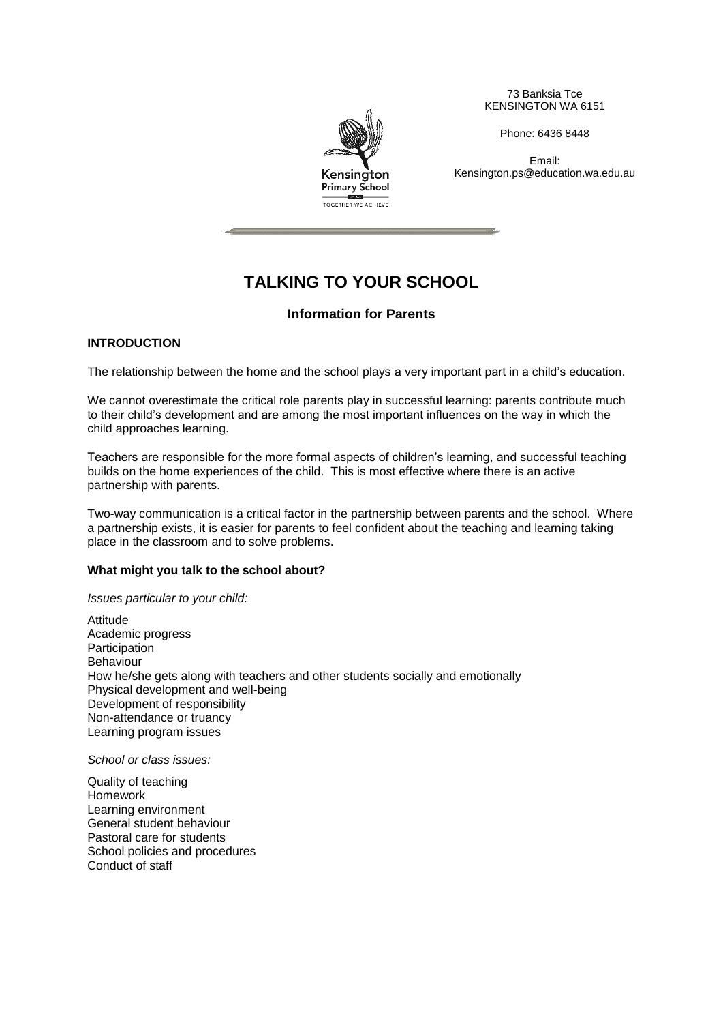73 Banksia Tce KENSINGTON WA 6151

Phone: 6436 8448

Email: Kensington.ps@education.wa.edu.au



# **TALKING TO YOUR SCHOOL**

# **Information for Parents**

# **INTRODUCTION**

The relationship between the home and the school plays a very important part in a child's education.

We cannot overestimate the critical role parents play in successful learning: parents contribute much to their child's development and are among the most important influences on the way in which the child approaches learning.

Teachers are responsible for the more formal aspects of children's learning, and successful teaching builds on the home experiences of the child. This is most effective where there is an active partnership with parents.

Two-way communication is a critical factor in the partnership between parents and the school. Where a partnership exists, it is easier for parents to feel confident about the teaching and learning taking place in the classroom and to solve problems.

#### **What might you talk to the school about?**

*Issues particular to your child:*

Attitude Academic progress **Participation** Behaviour How he/she gets along with teachers and other students socially and emotionally Physical development and well-being Development of responsibility Non-attendance or truancy Learning program issues

*School or class issues:*

Quality of teaching Homework Learning environment General student behaviour Pastoral care for students School policies and procedures Conduct of staff